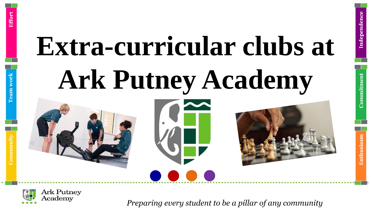



*Preparing every student to be a pillar of any community*

**Enthusiasm**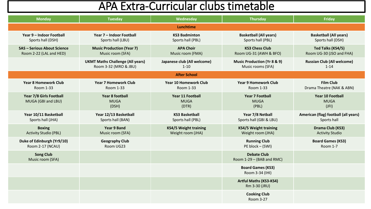| <b>Monday</b>                                                 | <b>Tuesday</b>                                                   | Wednesday                                         | <b>Thursday</b>                                             | Friday                                              |  |
|---------------------------------------------------------------|------------------------------------------------------------------|---------------------------------------------------|-------------------------------------------------------------|-----------------------------------------------------|--|
| Lunchtime                                                     |                                                                  |                                                   |                                                             |                                                     |  |
| Year 9 – Indoor Football<br>Sports hall (DSH)                 | Year 7 - Indoor Football<br>Sports hall (LBU)                    | <b>KS3 Badminton</b><br>Sports hall (PBL)         | <b>Basketball (All years)</b><br>Sports hall (PBL)          | <b>Basketball (All years)</b><br>Sports hall (DSH)  |  |
| <b>SAS - Serious About Science</b><br>Room 2-22 (LAL and HED) | <b>Music Production (Year 7)</b><br>Music room (SFA)             | <b>APA Choir</b><br>Music room (FMA)              | <b>KS3 Chess Club</b><br>Room UG-31 (AWH & BFO)             | Ted Talks (KS4/5)<br>Room UG-30 (JSO and FHA)       |  |
|                                                               | <b>UKMT Maths Challenge (All years)</b><br>Room 3-32 (MRO & JBU) | Japanese club (All welcome)<br>$1 - 10$           | <b>Music Production (Yr 8 &amp; 9)</b><br>Music rooms (SFA) | <b>Russian Club (All welcome)</b><br>$1 - 14$       |  |
|                                                               |                                                                  | <b>After School</b>                               |                                                             |                                                     |  |
| <b>Year 8 Homework Club</b><br>Room 1-33                      | <b>Year 7 Homework Club</b><br>Room 1-33                         | <b>Year 10 Homework Club</b><br>Room 1-33         | <b>Year 9 Homework Club</b><br>Room 1-33                    | <b>Film Club</b><br>Drama Theatre (NAK & ABN)       |  |
| Year 7/8 Girls Football<br>MUGA (GBI and LBU)                 | <b>Year 8 football</b><br><b>MUGA</b><br>(DSH)                   | <b>Year 11 Football</b><br><b>MUGA</b><br>(DTR)   | <b>Year 7 Football</b><br><b>MUGA</b><br>(PBL)              | <b>Year 10 Football</b><br><b>MUGA</b><br>(JFI)     |  |
| Year 10/11 Basketball<br>Sports hall (JHA)                    | Year 12/13 Basketball<br>Sports hall (BAN)                       | <b>KS3 Basketball</b><br>Sports hall (PBL)        | Year 7/8 Netball<br>Sports hall (GBI & LBU)                 | American (flag) football (all years)<br>Sports hall |  |
| <b>Boxing</b><br><b>Activity Studio (PBL)</b>                 | <b>Year 9 Band</b><br>Music room (SFA)                           | <b>KS4/5 Weight training</b><br>Weight room (JHA) | <b>KS4/5 Weight training</b><br>Weight room (JHA)           | Drama Club (KS3)<br><b>Activity Studio</b>          |  |
| Duke of Edinburgh (Yr9/10)<br>Room 2-17 (NCAU)                | <b>Geography Club</b><br>Room UG23                               |                                                   | <b>Running Club</b><br>PE block - (SWI)                     | <b>Board Games (KS3)</b><br>Room 1-7                |  |
| <b>Song Club</b><br>Music room (SFA)                          |                                                                  |                                                   | <b>Debate Club</b><br>Room 1-29 - (BAB and RMC)             |                                                     |  |
|                                                               |                                                                  |                                                   | <b>Board Games (KS3)</b><br>Room 3-34 (IHI)                 |                                                     |  |
|                                                               |                                                                  |                                                   | <b>Artful Maths (KS3-KS4)</b><br>Rm 3-30 (JRU)              |                                                     |  |
|                                                               |                                                                  |                                                   | <b>Cooking Club</b><br>Room 3-27                            |                                                     |  |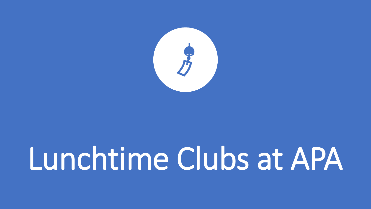

### Lunchtime Clubs at APA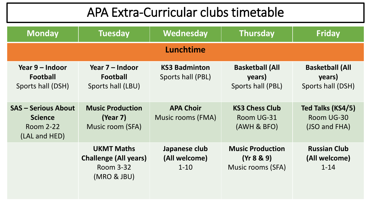| <b>Monday</b>                                                              | <b>Tuesday</b>                                                                       | <b>Wednesday</b>                           | <b>Thursday</b>                                            | <b>Friday</b>                                         |  |
|----------------------------------------------------------------------------|--------------------------------------------------------------------------------------|--------------------------------------------|------------------------------------------------------------|-------------------------------------------------------|--|
| Lunchtime                                                                  |                                                                                      |                                            |                                                            |                                                       |  |
| Year 9 – Indoor<br>Football<br>Sports hall (DSH)                           | Year 7 – Indoor<br>Football<br>Sports hall (LBU)                                     | <b>KS3 Badminton</b><br>Sports hall (PBL)  | <b>Basketball (All</b><br>years)<br>Sports hall (PBL)      | <b>Basketball (All</b><br>years)<br>Sports hall (DSH) |  |
| <b>SAS - Serious About</b><br><b>Science</b><br>Room 2-22<br>(LAL and HED) | <b>Music Production</b><br>(Year 7)<br>Music room (SFA)                              | <b>APA Choir</b><br>Music rooms (FMA)      | <b>KS3 Chess Club</b><br>Room UG-31<br>(AWH & BFO)         | Ted Talks (KS4/5)<br>Room UG-30<br>(JSO and FHA)      |  |
|                                                                            | <b>UKMT Maths</b><br><b>Challenge (All years)</b><br><b>Room 3-32</b><br>(MRO & JBU) | Japanese club<br>(All welcome)<br>$1 - 10$ | <b>Music Production</b><br>(Yr 8 & 9)<br>Music rooms (SFA) | <b>Russian Club</b><br>(All welcome)<br>$1 - 14$      |  |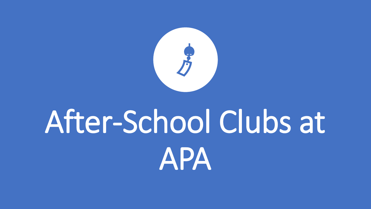

### After-School Clubs at APA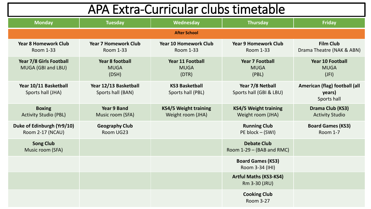| APA Extra-Curricular clubs timetable           |                                                 |                                                   |                                                   |                                                        |
|------------------------------------------------|-------------------------------------------------|---------------------------------------------------|---------------------------------------------------|--------------------------------------------------------|
| <b>Monday</b>                                  | <b>Tuesday</b>                                  | <b>Wednesday</b>                                  | <b>Thursday</b>                                   | <b>Friday</b>                                          |
|                                                |                                                 | <b>After School</b>                               |                                                   |                                                        |
| <b>Year 8 Homework Club</b><br>Room 1-33       | <b>Year 7 Homework Club</b><br><b>Room 1-33</b> | <b>Year 10 Homework Club</b><br>Room 1-33         | <b>Year 9 Homework Club</b><br><b>Room 1-33</b>   | <b>Film Club</b><br>Drama Theatre (NAK & ABN)          |
| Year 7/8 Girls Football<br>MUGA (GBI and LBU)  | <b>Year 8 football</b><br><b>MUGA</b><br>(DSH)  | <b>Year 11 Football</b><br><b>MUGA</b><br>(DTR)   | <b>Year 7 Football</b><br><b>MUGA</b><br>(PBL)    | <b>Year 10 Football</b><br><b>MUGA</b><br>(JFI)        |
| Year 10/11 Basketball<br>Sports hall (JHA)     | Year 12/13 Basketball<br>Sports hall (BAN)      | <b>KS3 Basketball</b><br>Sports hall (PBL)        | Year 7/8 Netball<br>Sports hall (GBI & LBU)       | American (flag) football (all<br>years)<br>Sports hall |
| <b>Boxing</b><br><b>Activity Studio (PBL)</b>  | <b>Year 9 Band</b><br>Music room (SFA)          | <b>KS4/5 Weight training</b><br>Weight room (JHA) | <b>KS4/5 Weight training</b><br>Weight room (JHA) | Drama Club (KS3)<br><b>Activity Studio</b>             |
| Duke of Edinburgh (Yr9/10)<br>Room 2-17 (NCAU) | <b>Geography Club</b><br>Room UG23              |                                                   | <b>Running Club</b><br>PE block – (SWI)           | <b>Board Games (KS3)</b><br><b>Room 1-7</b>            |
| <b>Song Club</b><br>Music room (SFA)           |                                                 |                                                   | <b>Debate Club</b><br>Room $1-29 - (BAB and RMC)$ |                                                        |
|                                                |                                                 |                                                   | <b>Board Games (KS3)</b><br>Room 3-34 (IHI)       |                                                        |
|                                                |                                                 |                                                   | <b>Artful Maths (KS3-KS4)</b><br>Rm 3-30 (JRU)    |                                                        |
|                                                |                                                 |                                                   | <b>Cooking Club</b><br>Room 3-27                  |                                                        |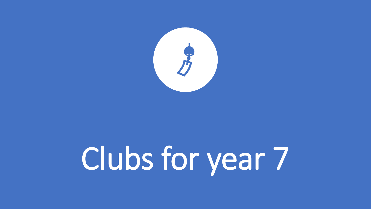

# Clubs for year 7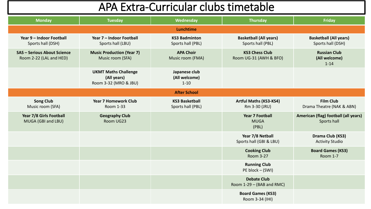| <b>Monday</b>                                                 | <b>Tuesday</b>                                                      | Wednesday                                  | <b>Thursday</b>                                    | <b>Friday</b>                                       |
|---------------------------------------------------------------|---------------------------------------------------------------------|--------------------------------------------|----------------------------------------------------|-----------------------------------------------------|
|                                                               |                                                                     | Lunchtime                                  |                                                    |                                                     |
| Year 9 - Indoor Football<br>Sports hall (DSH)                 | Year 7 - Indoor Football<br>Sports hall (LBU)                       | <b>KS3 Badminton</b><br>Sports hall (PBL)  | <b>Basketball (All years)</b><br>Sports hall (PBL) | <b>Basketball (All years)</b><br>Sports hall (DSH)  |
| <b>SAS - Serious About Science</b><br>Room 2-22 (LAL and HED) | <b>Music Production (Year 7)</b><br>Music room (SFA)                | <b>APA Choir</b><br>Music room (FMA)       | <b>KS3 Chess Club</b><br>Room UG-31 (AWH & BFO)    | <b>Russian Club</b><br>(All welcome)<br>$1 - 14$    |
|                                                               | <b>UKMT Maths Challenge</b><br>(All years)<br>Room 3-32 (MRO & JBU) | Japanese club<br>(All welcome)<br>$1 - 10$ |                                                    |                                                     |
|                                                               |                                                                     | <b>After School</b>                        |                                                    |                                                     |
| <b>Song Club</b><br>Music room (SFA)                          | <b>Year 7 Homework Club</b><br>Room 1-33                            | <b>KS3 Basketball</b><br>Sports hall (PBL) | <b>Artful Maths (KS3-KS4)</b><br>Rm 3-30 (JRU)     | <b>Film Club</b><br>Drama Theatre (NAK & ABN)       |
| Year 7/8 Girls Football<br>MUGA (GBI and LBU)                 | <b>Geography Club</b><br>Room UG23                                  |                                            | <b>Year 7 Football</b><br><b>MUGA</b><br>(PBL)     | American (flag) football (all years)<br>Sports hall |
|                                                               |                                                                     |                                            | Year 7/8 Netball<br>Sports hall (GBI & LBU)        | Drama Club (KS3)<br><b>Activity Studio</b>          |
|                                                               |                                                                     |                                            | <b>Cooking Club</b><br>Room 3-27                   | <b>Board Games (KS3)</b><br>Room 1-7                |
|                                                               |                                                                     |                                            | <b>Running Club</b><br>PE block – (SWI)            |                                                     |
|                                                               |                                                                     |                                            | <b>Debate Club</b><br>Room 1-29 - (BAB and RMC)    |                                                     |
|                                                               |                                                                     |                                            | <b>Board Games (KS3)</b><br>Room 3-34 (IHI)        |                                                     |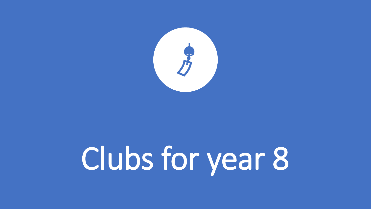

# Clubs for year 8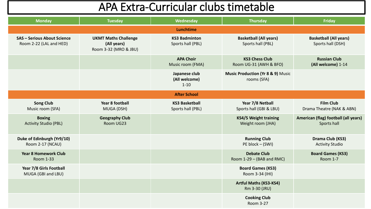| <b>Monday</b>                                                 | <b>Tuesday</b>                                                      | Wednesday                                  | <b>Thursday</b>                                             | Friday                                              |
|---------------------------------------------------------------|---------------------------------------------------------------------|--------------------------------------------|-------------------------------------------------------------|-----------------------------------------------------|
|                                                               |                                                                     | Lunchtime                                  |                                                             |                                                     |
| <b>SAS - Serious About Science</b><br>Room 2-22 (LAL and HED) | <b>UKMT Maths Challenge</b><br>(All years)<br>Room 3-32 (MRO & JBU) | <b>KS3 Badminton</b><br>Sports hall (PBL)  | <b>Basketball (All years)</b><br>Sports hall (PBL)          | <b>Basketball (All years)</b><br>Sports hall (DSH)  |
|                                                               |                                                                     | <b>APA Choir</b><br>Music room (FMA)       | <b>KS3 Chess Club</b><br>Room UG-31 (AWH & BFO)             | <b>Russian Club</b><br>(All welcome) 1-14           |
|                                                               |                                                                     | Japanese club<br>(All welcome)<br>$1 - 10$ | <b>Music Production (Yr 8 &amp; 9) Music</b><br>rooms (SFA) |                                                     |
|                                                               |                                                                     | <b>After School</b>                        |                                                             |                                                     |
| <b>Song Club</b><br>Music room (SFA)                          | <b>Year 8 football</b><br>MUGA (DSH)                                | <b>KS3 Basketball</b><br>Sports hall (PBL) | Year 7/8 Netball<br>Sports hall (GBI & LBU)                 | <b>Film Club</b><br>Drama Theatre (NAK & ABN)       |
| <b>Boxing</b><br><b>Activity Studio (PBL)</b>                 | <b>Geography Club</b><br>Room UG23                                  |                                            | <b>KS4/5 Weight training</b><br>Weight room (JHA)           | American (flag) football (all years)<br>Sports hall |
| Duke of Edinburgh (Yr9/10)<br>Room 2-17 (NCAU)                |                                                                     |                                            | <b>Running Club</b><br>PE block - (SWI)                     | Drama Club (KS3)<br><b>Activity Studio</b>          |
| <b>Year 8 Homework Club</b><br>Room 1-33                      |                                                                     |                                            | <b>Debate Club</b><br>Room 1-29 - (BAB and RMC)             | <b>Board Games (KS3)</b><br><b>Room 1-7</b>         |
| Year 7/8 Girls Football<br>MUGA (GBI and LBU)                 |                                                                     |                                            | <b>Board Games (KS3)</b><br>Room 3-34 (IHI)                 |                                                     |
|                                                               |                                                                     |                                            | <b>Artful Maths (KS3-KS4)</b><br>Rm 3-30 (JRU)              |                                                     |
|                                                               |                                                                     |                                            | <b>Cooking Club</b><br>Room 3-27                            |                                                     |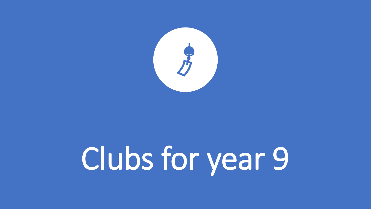

# Clubs for year 9